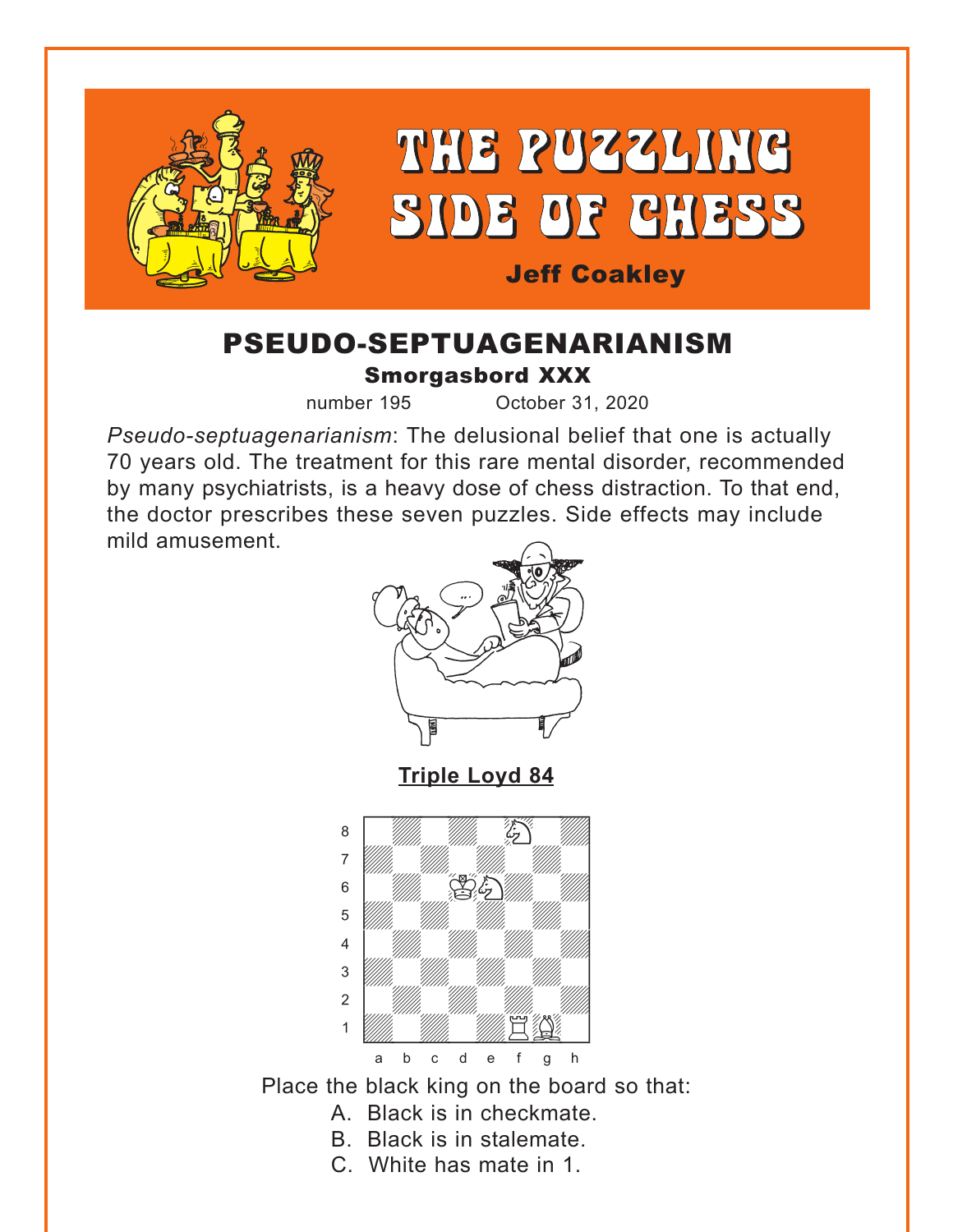<span id="page-0-0"></span>

# PSEUDO-SEPTUAGENARIANISM Smorgasbord XXX

number 195 October 31, 2020

*Pseudo-septuagenarianism*: The delusional belief that one is actually 70 years old. The treatment for this rare mental disorder, recommended by many psychiatrists, is a heavy dose of chess distraction. To that end, the doctor prescribes these seven puzzles. Side effects may include mild amusement.



**[Triple Loyd 84](#page-7-0)**



Place the black king on the board so that:

- A. Black is in checkmate.
- B. Black is in stalemate.
- C. White has mate in 1.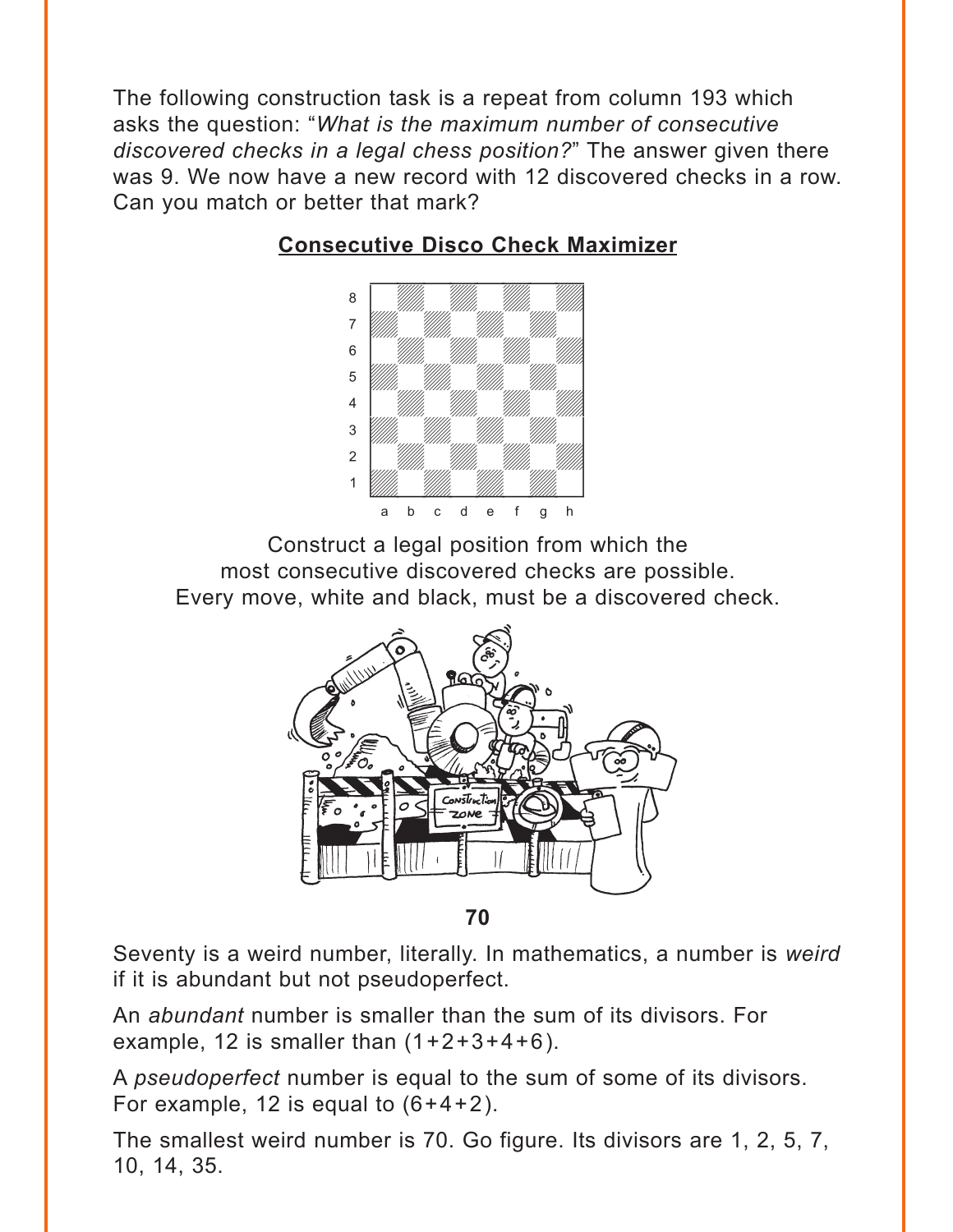<span id="page-1-0"></span>The following construction task is a repeat from column 193 which asks the question: "*What is the maximum number of consecutive discovered checks in a legal chess position?*" The answer given there was 9. We now have a new record with 12 discovered checks in a row. Can you match or better that mark?



# **[Consecutive Disco Check Maximizer](#page-8-0)**

Construct a legal position from which the most consecutive discovered checks are possible. Every move, white and black, must be a discovered check.



**70**

Seventy is a weird number, literally. In mathematics, a number is *weird* if it is abundant but not pseudoperfect.

An *abundant* number is smaller than the sum of its divisors. For example, 12 is smaller than  $(1+2+3+4+6)$ .

A *pseudoperfect* number is equal to the sum of some of its divisors. For example, 12 is equal to  $(6+4+2)$ .

The smallest weird number is 70. Go figure. Its divisors are 1, 2, 5, 7, 10, 14, 35.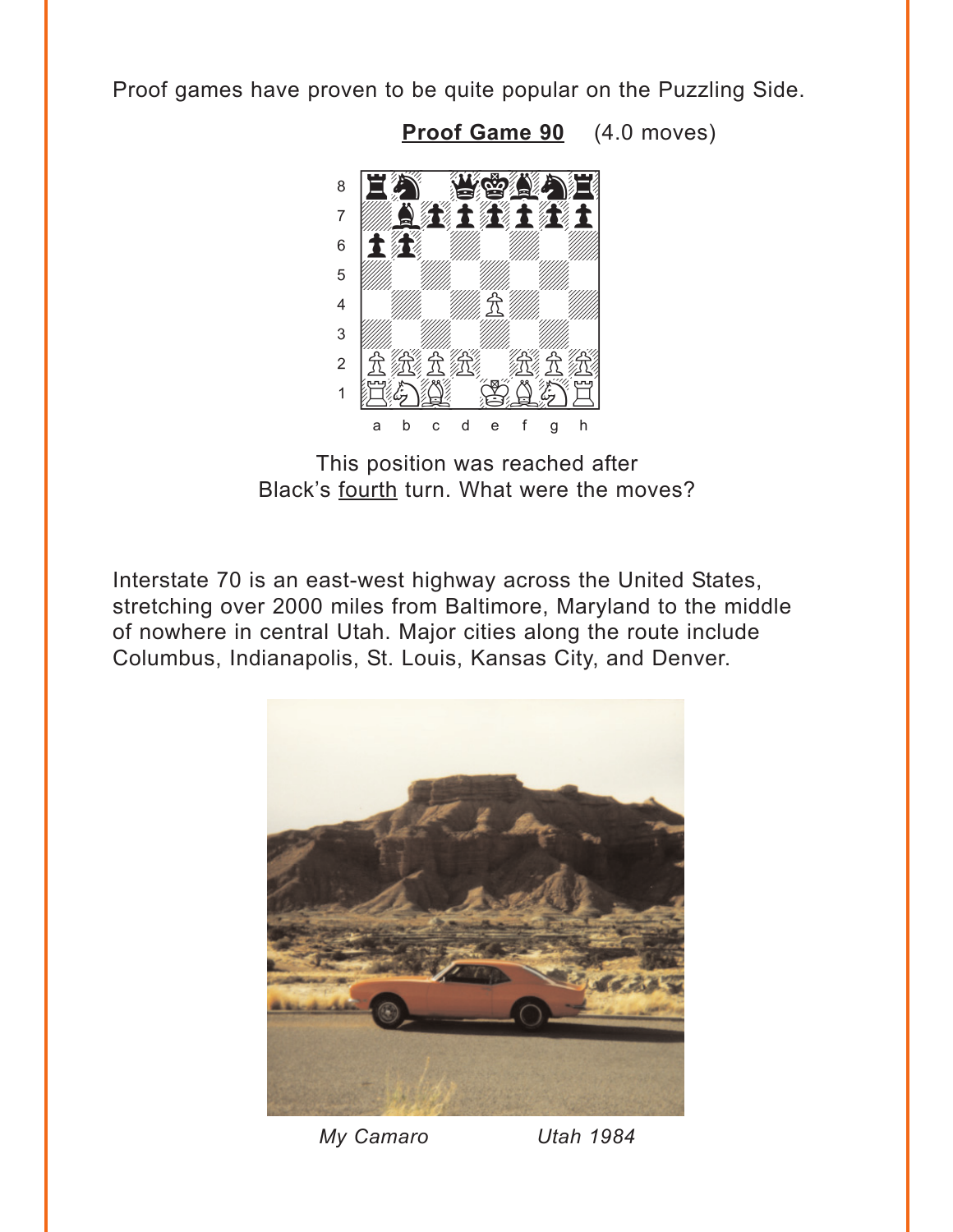<span id="page-2-0"></span>Proof games have proven to be quite popular on the Puzzling Side.



Proof Game 90 (4.0 moves)

This position was reached after Black's fourth turn. What were the moves?

Interstate 70 is an east-west highway across the United States, stretching over 2000 miles from Baltimore, Maryland to the middle of nowhere in central Utah. Major cities along the route include Columbus, Indianapolis, St. Louis, Kansas City, and Denver.



My Camaro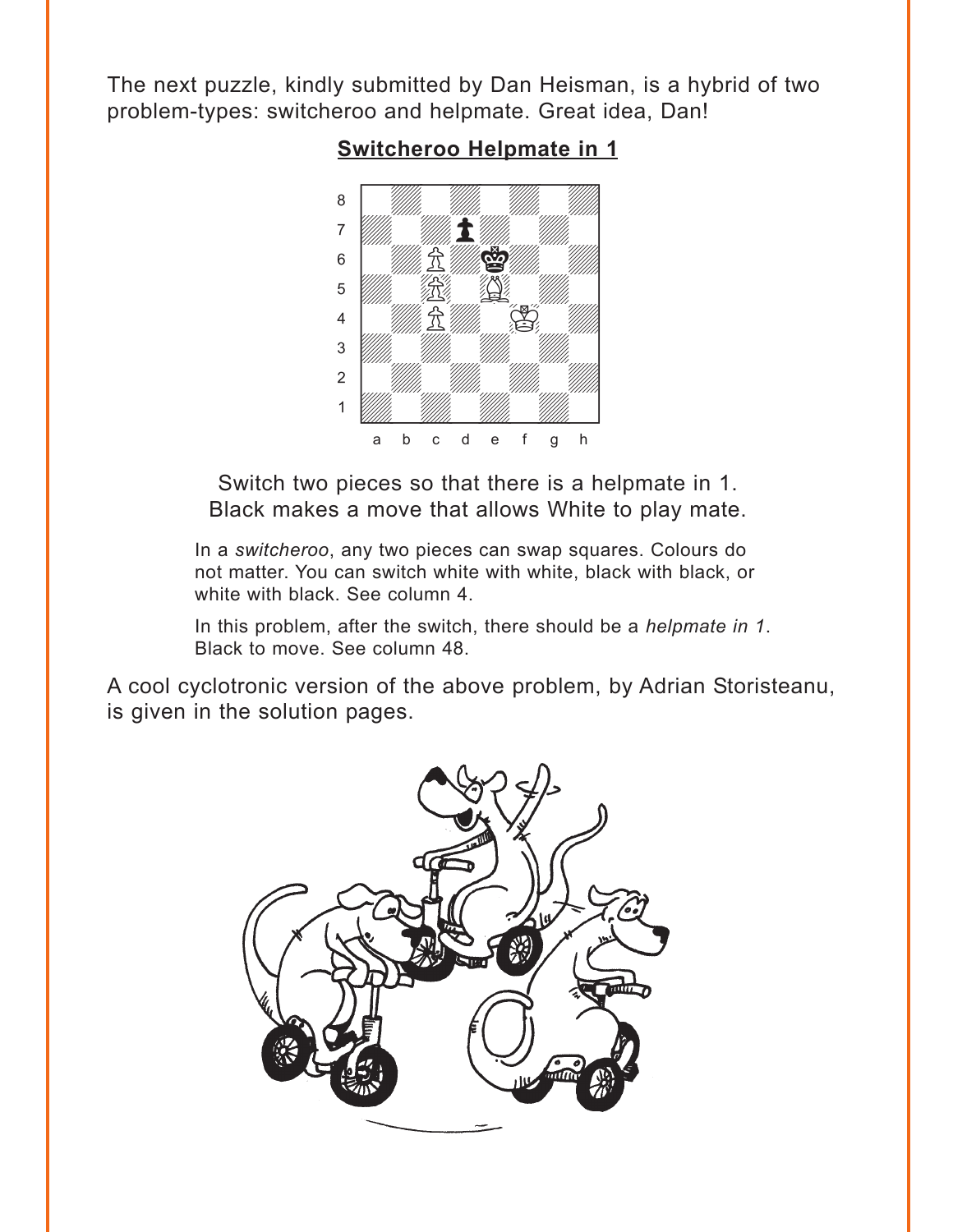<span id="page-3-0"></span>The next puzzle, kindly submitted by Dan Heisman, is a hybrid of two problem-types: switcheroo and helpmate. Great idea, Dan!

**[Switcheroo Helpmate in 1](#page-9-0)**



Switch two pieces so that there is a helpmate in 1. Black makes a move that allows White to play mate.

In a *switcheroo*, any two pieces can swap squares. Colours do not matter. You can switch white with white, black with black, or white with black. See column 4.

In this problem, after the switch, there should be a *helpmate in 1*. Black to move. See column 48.

A cool cyclotronic version of the above problem, by Adrian Storisteanu, is given in the solution pages.

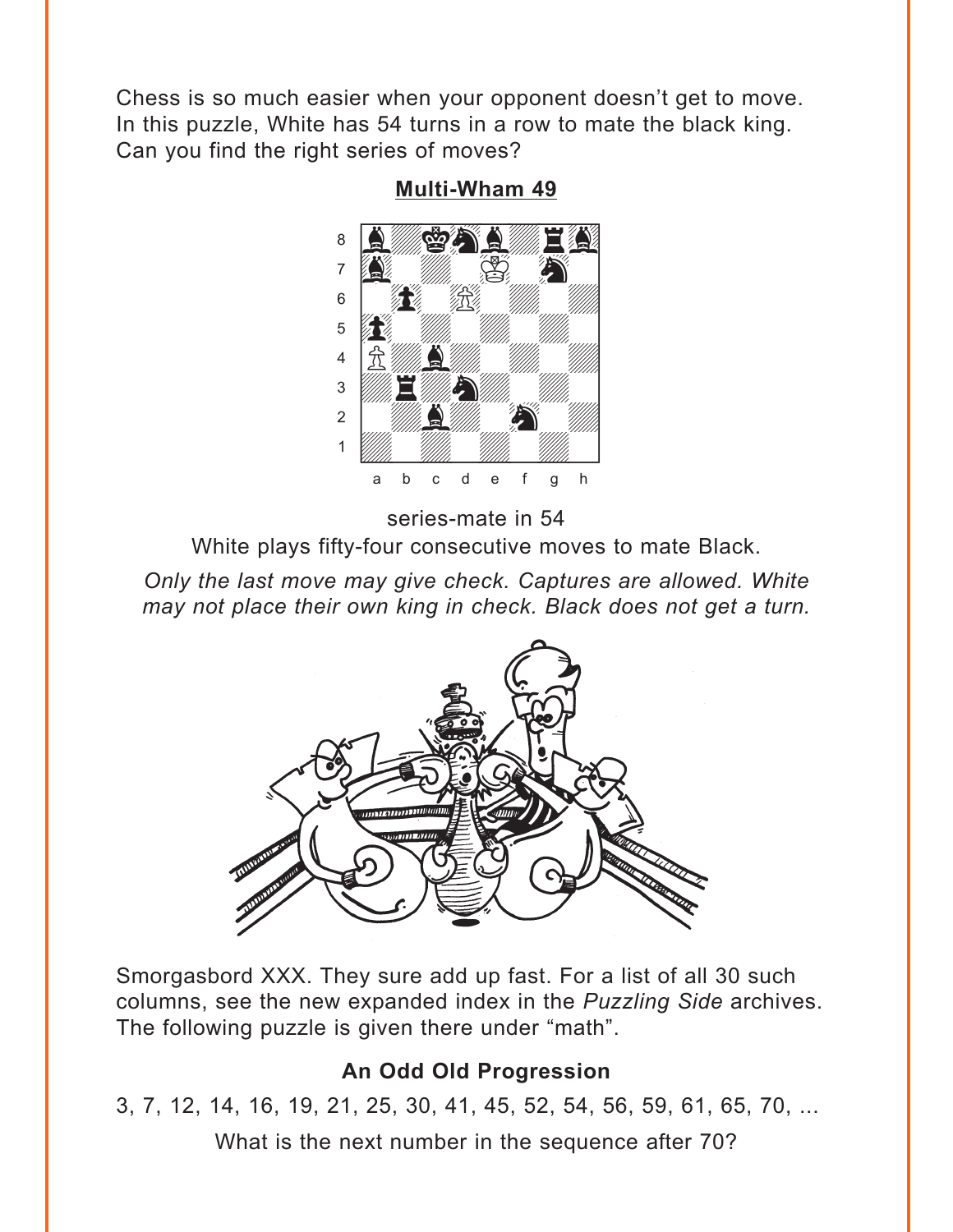<span id="page-4-0"></span>Chess is so much easier when your opponent doesn't get to move. In this puzzle, White has 54 turns in a row to mate the black king. Can you find the right series of moves?



**Multi-Wham 49** 

series-mate in 54

White plays fifty-four consecutive moves to mate Black.

Only the last move may give check. Captures are allowed. White may not place their own king in check. Black does not get a turn.



Smorgasbord XXX. They sure add up fast. For a list of all 30 such columns, see the new expanded index in the Puzzling Side archives. The following puzzle is given there under "math".

## An Odd Old Progression

3, 7, 12, 14, 16, 19, 21, 25, 30, 41, 45, 52, 54, 56, 59, 61, 65, 70, ...

What is the next number in the sequence after 70?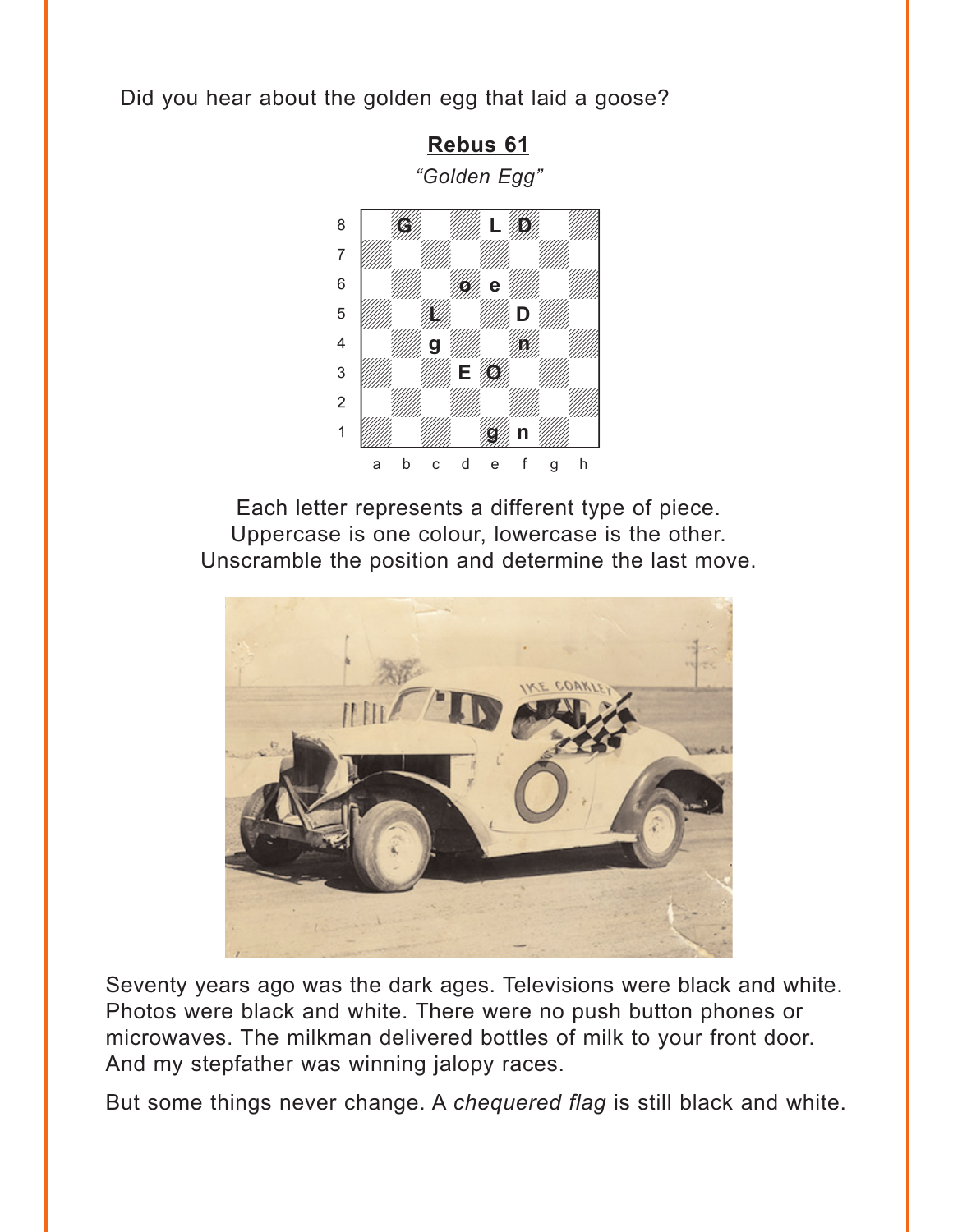<span id="page-5-0"></span>Did you hear about the golden egg that laid a goose?

Rebus 61 "Golden Egg"



Each letter represents a different type of piece. Uppercase is one colour, lowercase is the other. Unscramble the position and determine the last move.



Seventy years ago was the dark ages. Televisions were black and white. Photos were black and white. There were no push button phones or microwaves. The milkman delivered bottles of milk to your front door. And my stepfather was winning jalopy races.

But some things never change. A chequered flag is still black and white.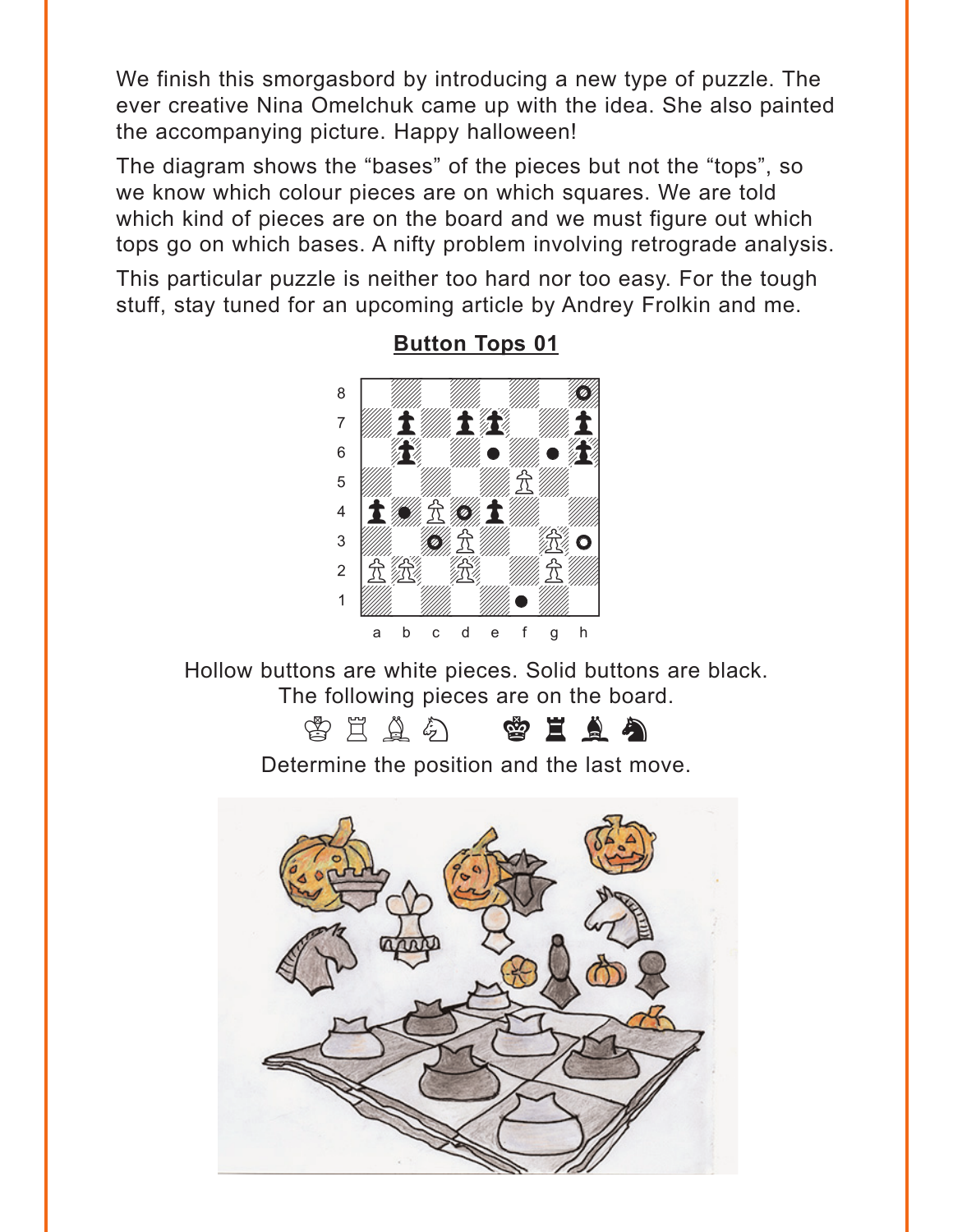<span id="page-6-0"></span>We finish this smorgasbord by introducing a new type of puzzle. The ever creative Nina Omelchuk came up with the idea. She also painted the accompanying picture. Happy halloween!

The diagram shows the "bases" of the pieces but not the "tops", so we know which colour pieces are on which squares. We are told which kind of pieces are on the board and we must figure out which tops go on which bases. A nifty problem involving retrograde analysis.

This particular puzzle is neither too hard nor too easy. For the tough stuff, stay tuned for an upcoming article by Andrey Frolkin and me.



#### **[Button Tops 01](#page-14-0)**

Hollow buttons are white pieces. Solid buttons are black. The following pieces are on the board.

# **ATAA Kah**

Determine the position and the last move.

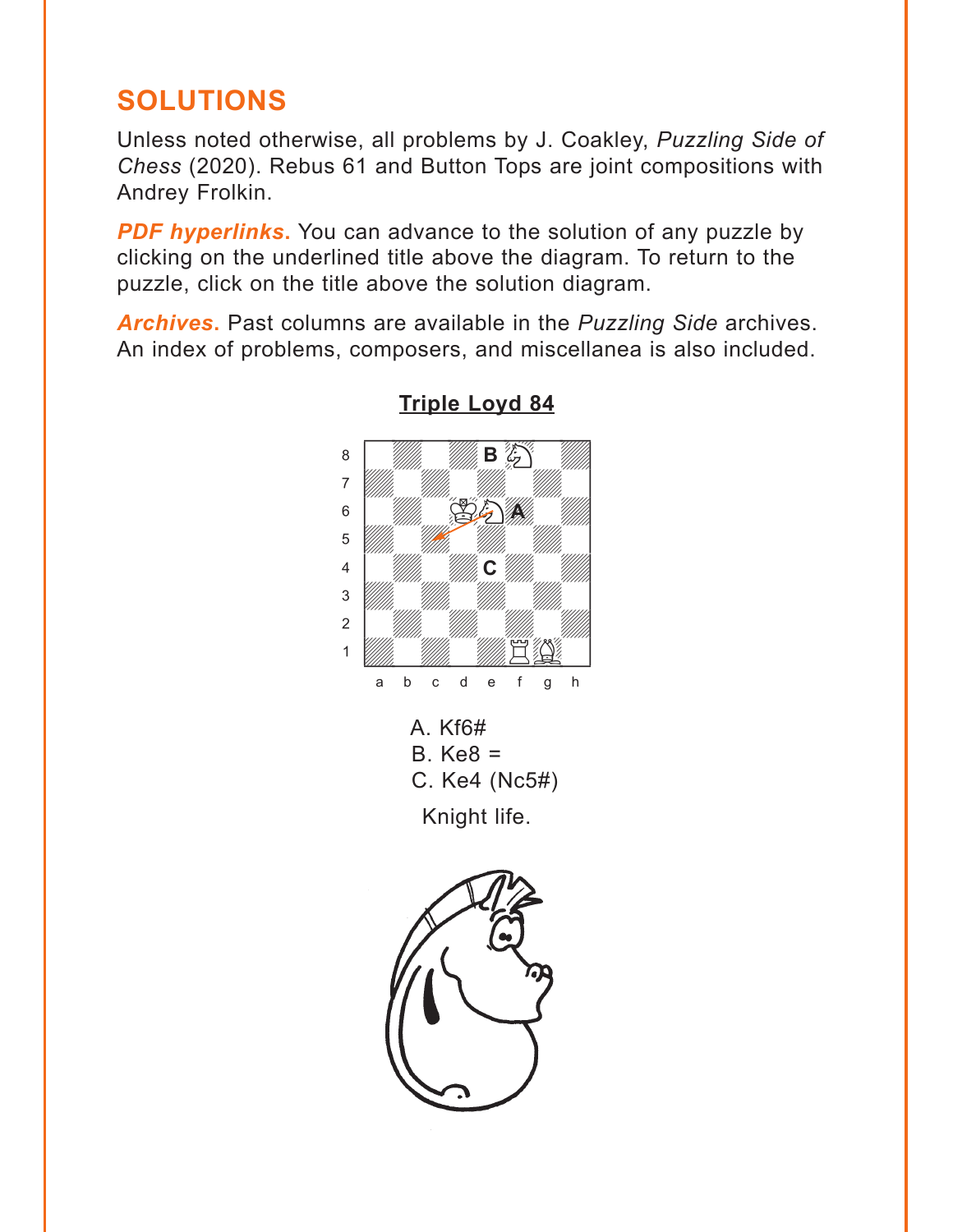# <span id="page-7-0"></span>**SOLUTIONS**

Unless noted otherwise, all problems by J. Coakley, *Puzzling Side of Chess* (2020). Rebus 61 and Button Tops are joint compositions with Andrey Frolkin.

**PDF hyperlinks.** You can advance to the solution of any puzzle by clicking on the underlined title above the diagram. To return to the puzzle, click on the title above the solution diagram.

*Archives***.** Past columns are available in the *Puzzling Side* archives. An index of problems, composers, and miscellanea is also included.



#### **[Triple Loyd 84](#page-0-0)** where  $\frac{1}{2}$  is the set of  $\frac{1}{2}$  in the set of  $\frac{1}{2}$

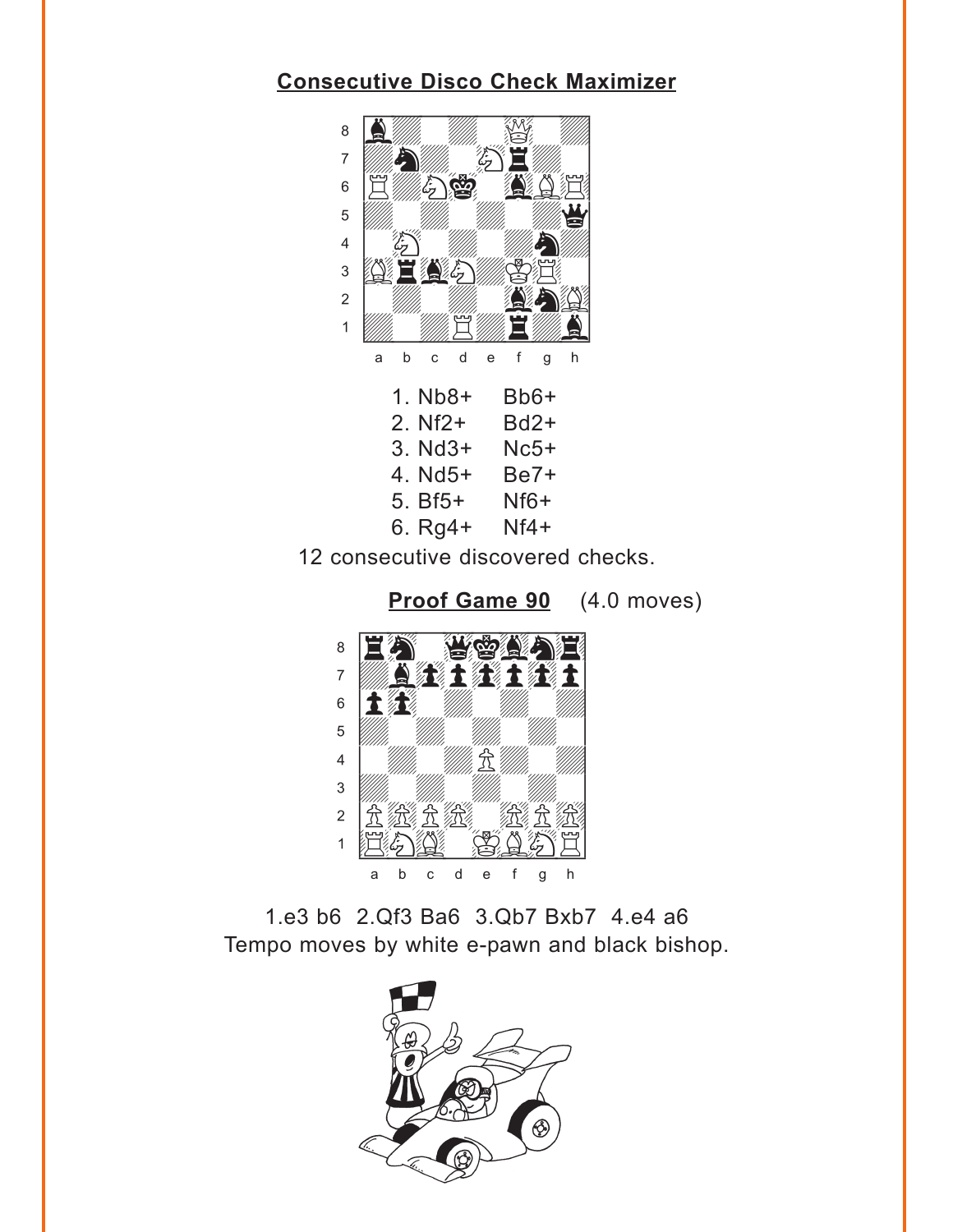#### <span id="page-8-0"></span>**[Consecutive Disco Check Maximizer](#page-1-0)** ww.com/2012/07/2020



12 consecutive discovered checks.



1.e3 b6 2.Qf3 Ba6 3.Qb7 Bxb7 4.e4 a6 Tempo moves by white e-pawn and black bishop.

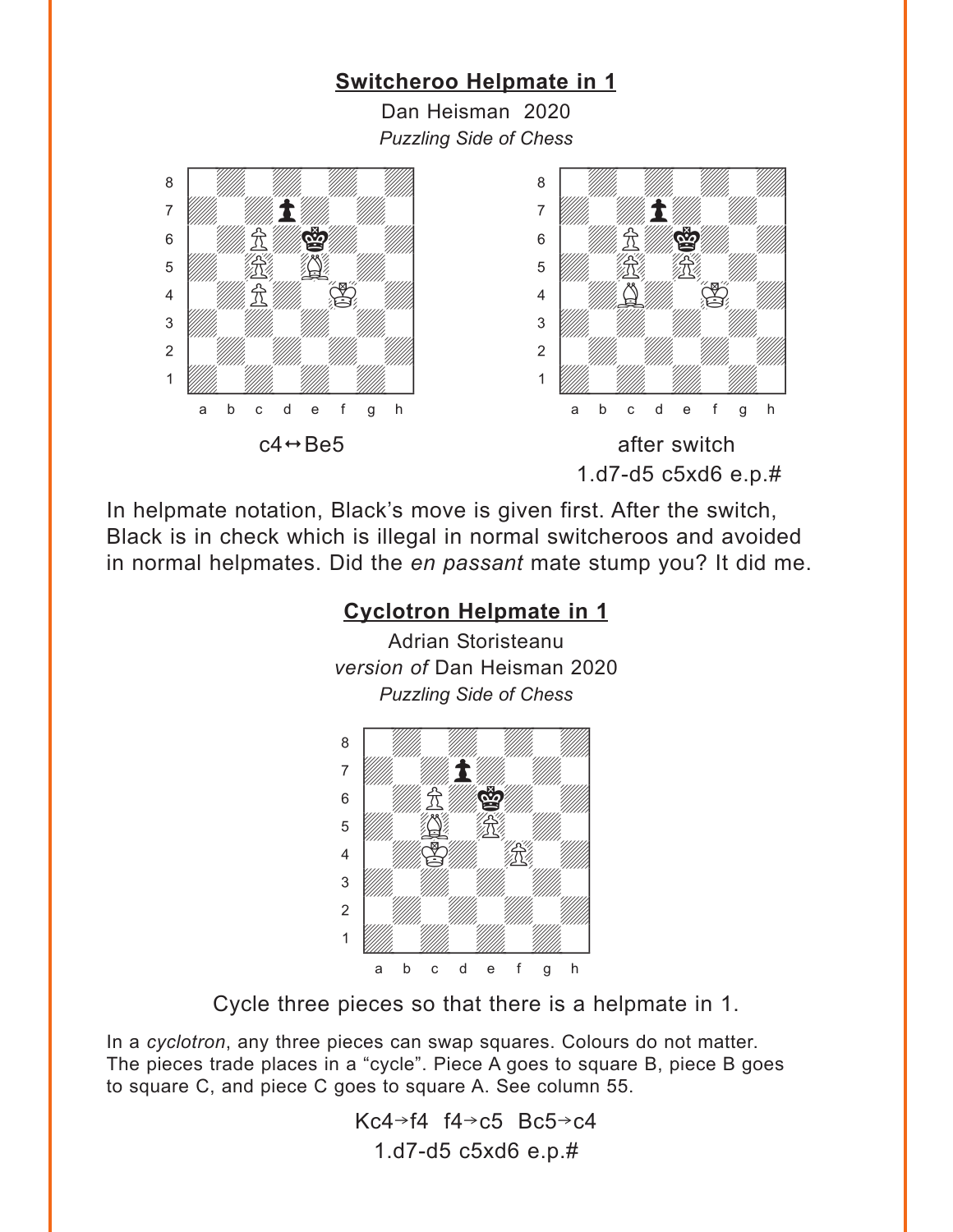#### <span id="page-9-0"></span>**[Switcheroo Helpmate in 1](#page-3-0)** Dan Heisman 2020 *Puzzling Side of Chess*  $c4 \leftrightarrow Be5$  after switch 1.d7-d5 c5xd6 e.p.# where  $\frac{1}{2}$  we have  $\frac{1}{2}$  where  $\frac{1}{2}$ a **chunga a chunga a chunga a chunga a chunga a** adwarfadwarfadwarfadwarfadwarfadwarfadwarfadwarfadwarfadwarfadwarfadwarfadwarfadwarfadwarfadwarfadwarfadwarfad  $\frac{1}{2}$  and  $\frac{1}{2}$  and  $\frac{1}{2}$  and  $\frac{1}{2}$  $\frac{1}{\sqrt{2}}$  $\begin{array}{c} \begin{array}{c} \begin{array}{c} \end{array} \\ \begin{array}{c} \end{array} \end{array} \end{array}$  $\frac{1}{\sqrt{2}}$ 2 | *William William William William 1999* 1 *Uddyn William William William Company William Company William Company* a b c d e f g h w\_\_\_\_\_\_\_\_w a **chunga a chunga a chunga a chunga a chunga a** adwarfadwarfadwarfadwarfadwarfadwarfadwarfadwarfadwarfadwarfadwarfadwarfadwarfadwarfadwarfadwarfadwarfadwarfad  $\frac{1}{2}$  and  $\frac{1}{2}$  and  $\frac{1}{2}$  and  $\frac{1}{2}$  $\overline{\mathcal{L}}$ 4 *William S. William S. William S.*  $\frac{1}{\sqrt{2}}$ 2 | *William William William William 1* 1 *Udward William William William Company William Company William Company* a b c d e f g h

In helpmate notation, Black's move is given first. After the switch, Black is in check which is illegal in normal switcheroos and avoided in normal helpmates. Did the *en passant* mate stump you? It did me.

# **[Cyclotron Helpmate in 1](#page-3-0)**

Adrian Storisteanu *version of* Dan Heisman 2020 *Puzzling Side of Chess*



Cycle three pieces so that there is a helpmate in 1.

In a *cyclotron*, any three pieces can swap squares. Colours do not matter. The pieces trade places in a "cycle". Piece A goes to square B, piece B goes to square C, and piece C goes to square A. See column 55.

> Kc4 $\rightarrow$ f4 f4 $\rightarrow$ c5 Bc5 $\rightarrow$ c4 1.d7-d5 c5xd6 e.p.#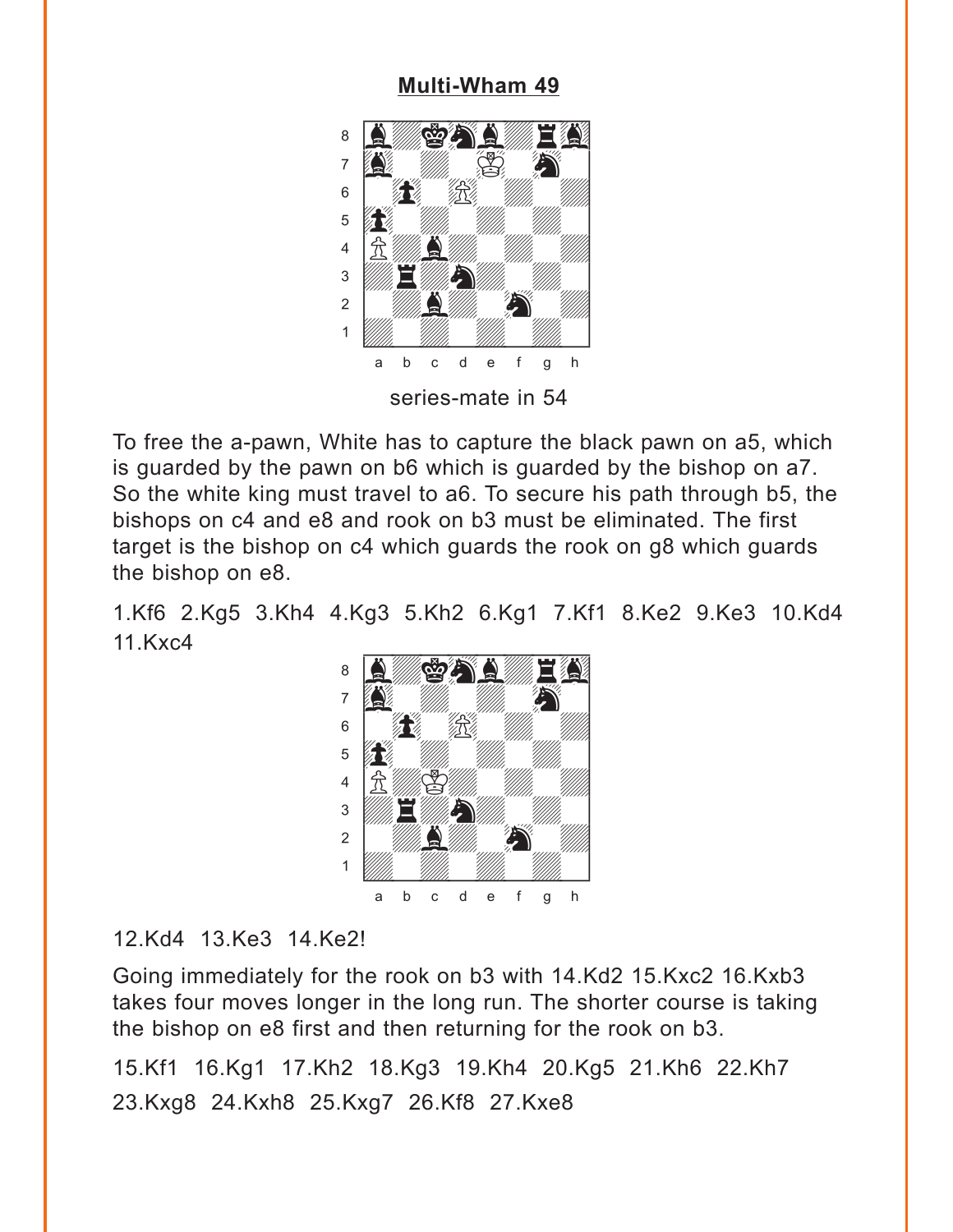#### **[Multi-Wham 49](#page-4-0)**

<span id="page-10-0"></span>

To free the a-pawn, White has to capture the black pawn on a5, which is guarded by the pawn on b6 which is guarded by the bishop on a7. So the white king must travel to a6. To secure his path through b5, the bishops on c4 and e8 and rook on b3 must be eliminated. The first target is the bishop on c4 which guards the rook on g8 which guards the bishop on e8.

1.Kf6 2.Kg5 3.Kh4 4.Kg3 5.Kh2 6.Kg1 7.Kf1 8.Ke2 9.Ke3 10.Kd4 11.Kxc4 with the set of the set of the set of the set of the set of the set of the set of the set of the set of the set of the set of the set of the set of the set of the set of the set of the set of the set of the set of the set



#### 12.Kd4 13.Ke3 14.Ke2!

Going immediately for the rook on b3 with 14.Kd2 15.Kxc2 16.Kxb3 takes four moves longer in the long run. The shorter course is taking the bishop on e8 first and then returning for the rook on b3.

15.Kf1 16.Kg1 17.Kh2 18.Kg3 19.Kh4 20.Kg5 21.Kh6 22.Kh7 23.Kxg8 24.Kxh8 25.Kxg7 26.Kf8 27.Kxe8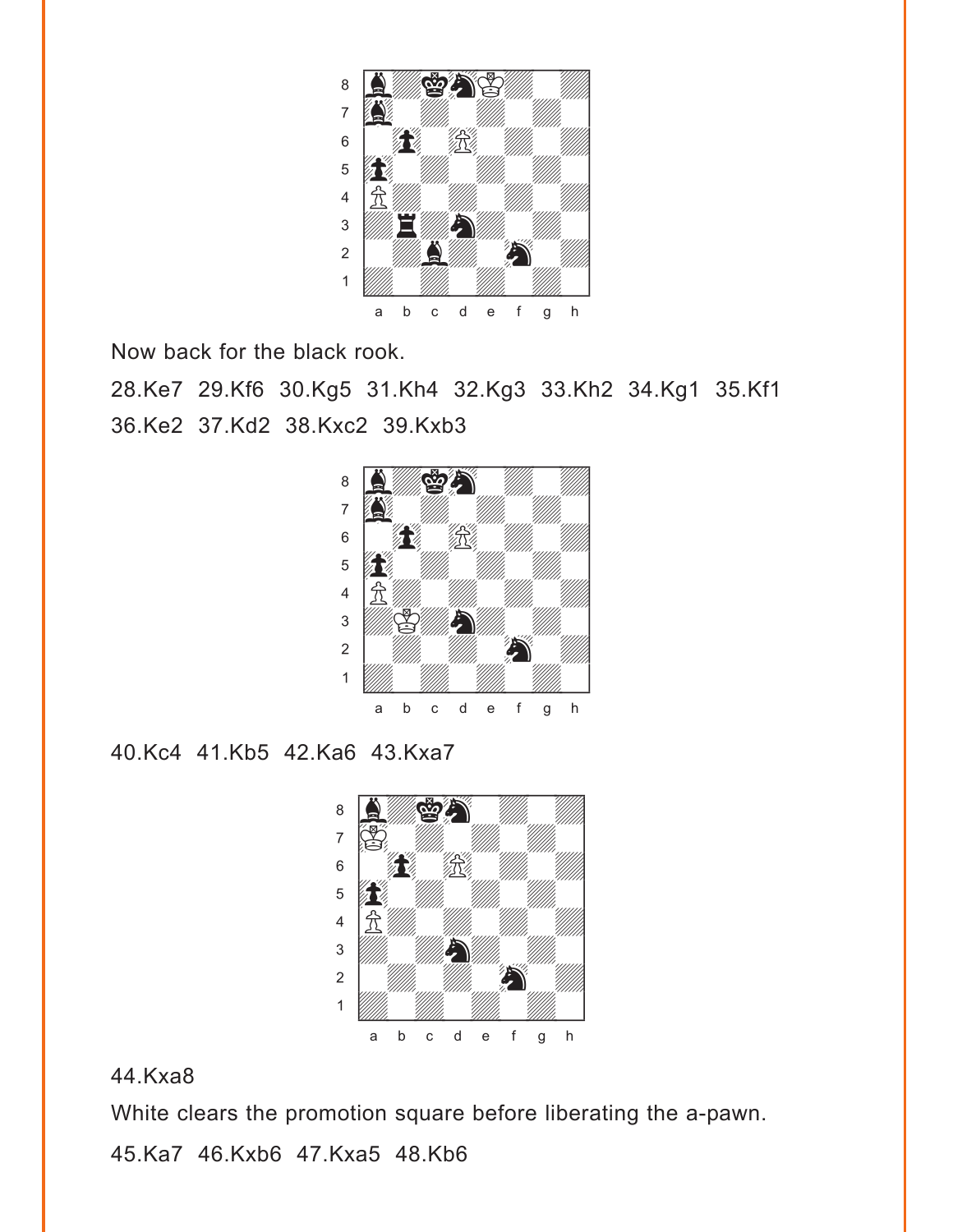

Now back for the black rook.

28.Ke7 29.Kf6 30.Kg5 31.Kh4 32.Kg3 33.Kh2 34.Kg1 35.Kf1 36.Ke2 37.Kd2 38.Kxc2 39.Kxb3



40.Kc4 41.Kb5 42.Ka6 43.Kxa7



44.Kxa8

White clears the promotion square before liberating the a-pawn.

45.Ka7 46.Kxb6 47.Kxa5 48.Kb6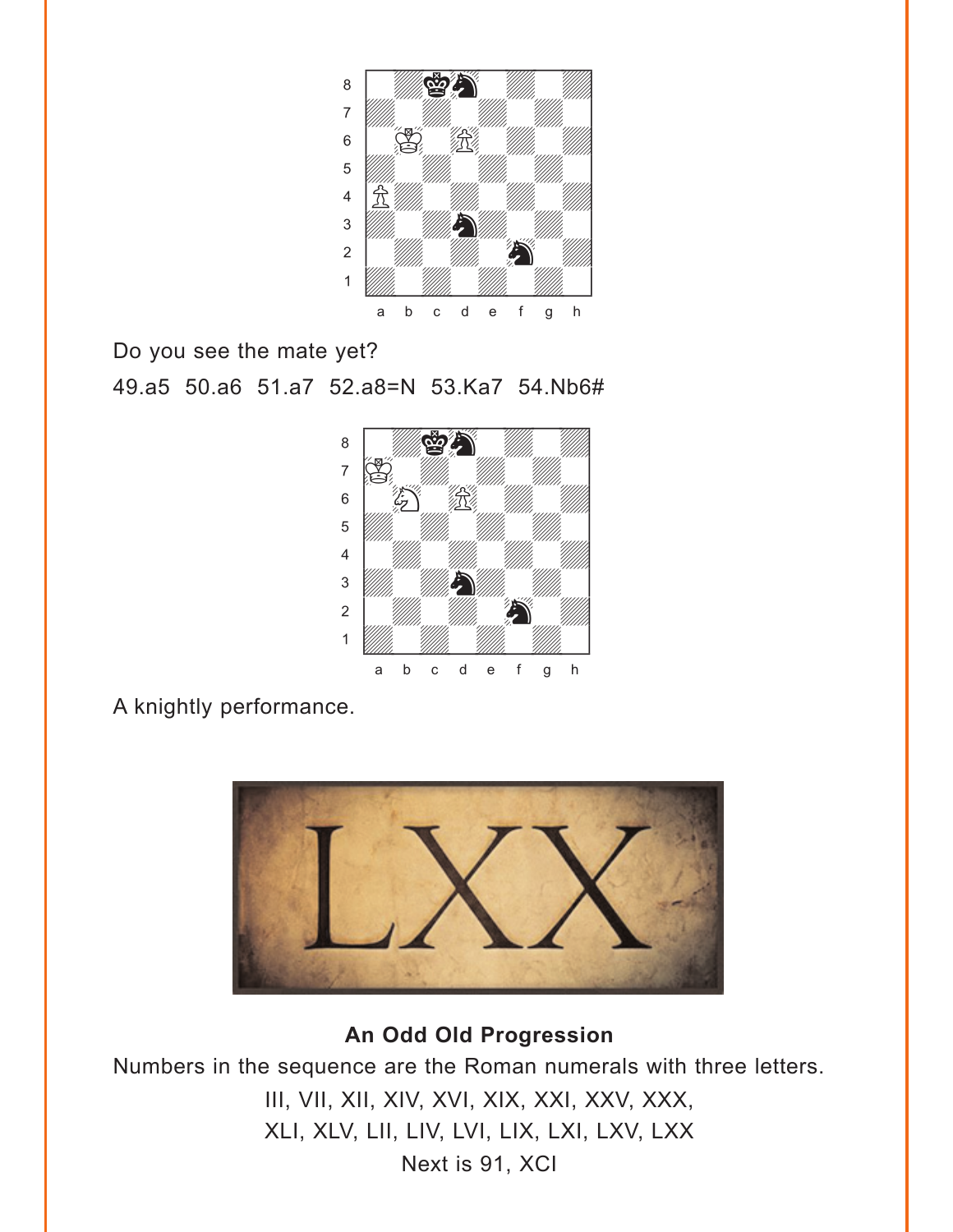<span id="page-12-0"></span>

Do you see the mate yet? 49.a5 50.a6 51.a7 52.a8=N 53.Ka7 54.Nb6#



A knightly performance.



**[An Odd Old Progression](#page-4-0)**

Numbers in the sequence are the Roman numerals with three letters.

III, VII, XII, XIV, XVI, XIX, XXI, XXV, XXX, XLI, XLV, LII, LIV, LVI, LIX, LXI, LXV, LXX Next is 91, XCI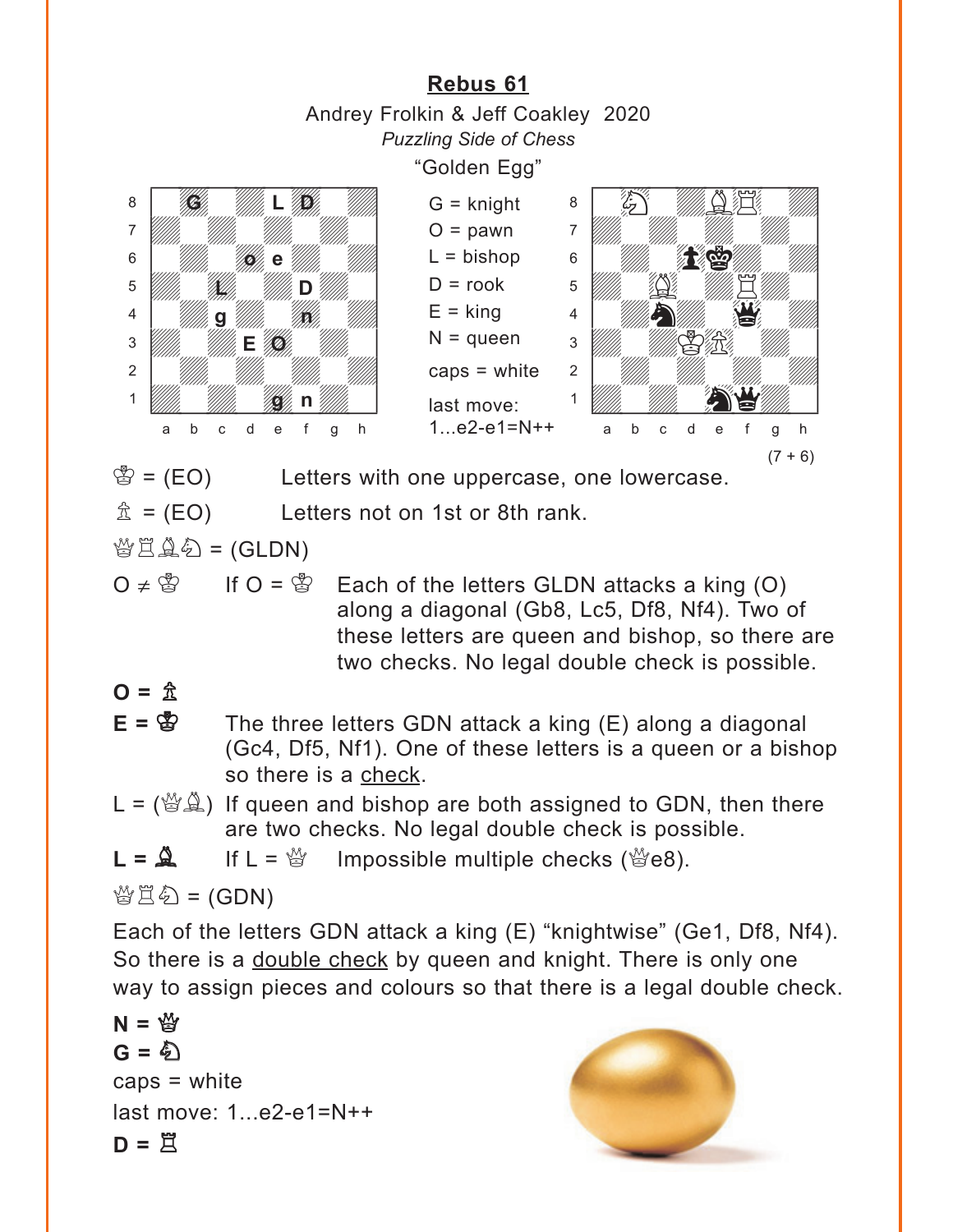<span id="page-13-0"></span>**[Rebus 61](#page-5-0)** Andrey Frolkin & Jeff Coakley 2020 *Puzzling Side of Chess* "Golden Egg"  $\mathcal{B} = (EO)$  Letters with one uppercase, one lowercase.  $\hat{\mathbb{I}}$  = (EO) Letters not on 1st or 8th rank.  $\mathcal{B}\boxtimes\mathcal{A}\otimes\mathcal{B}$  = (GLDN) G = knight  $O =$  pawn  $L = b$ ishop  $D =$ rook  $E =$ king  $N =$ queen caps = white last move: 1...e2-e1=N++ with the set of the set of the set of the set of the set of the set of the set of the set of the set of the set of the set of the set of the set of the set of the set of the set of the set of the set of the set of the set áwHwdB\$wd] àdwdwdwdw]  $\frac{1}{2}$   $\frac{1}{2}$  $\overline{\mathbf{S}}$ <sup>4</sup> William St. 1995  $3$  William William  $\sum_{i=1}^n$ 2 | *William William William William William William William William William William William William William William William William William William William William William William William William William William William W*  $\frac{1}{2}$ a b c d e f g h with the set of the set of the set of the set of the set of the set of the set of the set of the set of the set of the set of the set of the set of the set of the set of the set of the set of the set of the set of the set áwdwdwdwd] àdwdwdwdw]  $\mathbf{S}$   $\mathbf{W}$   $\mathbf{B}$   $\mathbf{B}$   $\mathbf{B}$   $\mathbf{B}$   $\mathbf{B}$   $\mathbf{B}$   $\mathbf{B}$   $\mathbf{B}$  $\overline{\mathbf{D}}$ 4 **William 9 William William Province Community** 3 W/W **E O** W/W 2 | *William William William William 1* 1 *William William Communication* a b c d e f g h **G . Will . L . B be** a film **Mille, Allille, D g** *illin* **18 g n**  $(7 + 6)$ 

O ≠  $\mathbb{S}$  If O =  $\mathbb{S}$  Each of the letters GLDN attacks a king (O) along a diagonal (Gb8, Lc5, Df8, Nf4). Two of these letters are queen and bishop, so there are two checks. No legal double check is possible.

### $Q = \hat{R}$

- $E = \&$  The three letters GDN attack a king  $(E)$  along a diagonal (Gc4, Df5, Nf1). One of these letters is a queen or a bishop so there is a check.
- $L = \langle \mathcal{L} \otimes \mathcal{L} \rangle$  If queen and bishop are both assigned to GDN, then there are two checks. No legal double check is possible.
- $L = \mathbb{Q}$  If  $L = \mathbb{Q}$  Impossible multiple checks ( $\mathbb{Q}$ e8).

 $\mathcal{L}(\mathcal{L}) = \mathcal{L}(\mathcal{L})$ 

Each of the letters GDN attack a king (E) "knightwise" (Ge1, Df8, Nf4). So there is a double check by queen and knight. There is only one way to assign pieces and colours so that there is a legal double check.

 $N = \frac{M}{2}$  $G = 2N$  $caps = white$ last move: 1...e2-e1=N++  $D = \overline{B}$ 

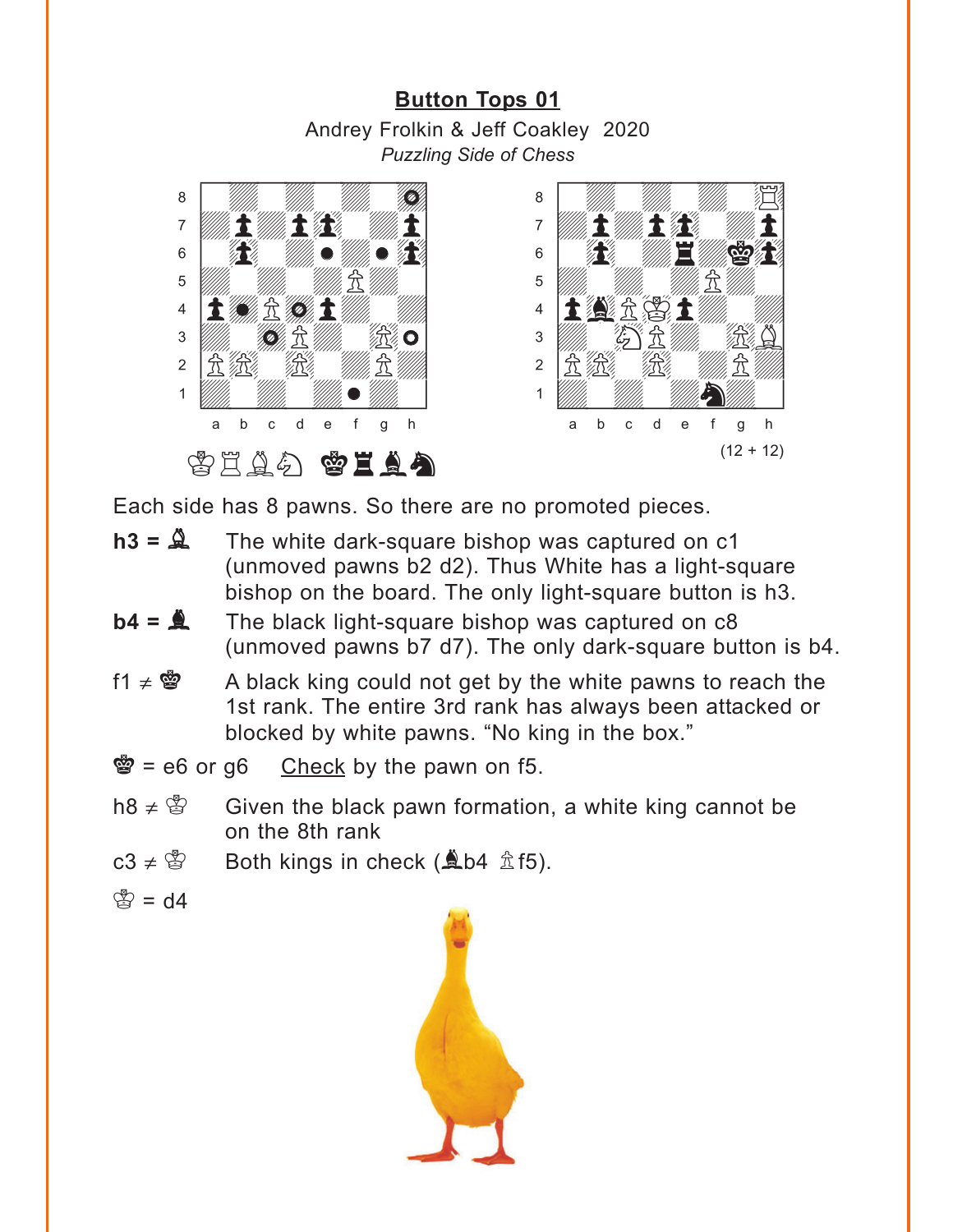### **[Button Tops 01](#page-6-0)** Andrey Frolkin & Jeff Coakley 2020 *Puzzling Side of Chess*

<span id="page-14-0"></span>



Each side has 8 pawns. So there are no promoted pieces.

- $h3 = \mathbb{Q}$  The white dark-square bishop was captured on c1 (unmoved pawns b2 d2). Thus White has a light-square bishop on the board. The only light-square button is h3.
- $\mathbf{b4} = \mathbf{A}$  The black light-square bishop was captured on c8 (unmoved pawns b7 d7). The only dark-square button is b4.
- f1  $\neq$   $\otimes$  A black king could not get by the white pawns to reach the 1st rank. The entire 3rd rank has always been attacked or blocked by white pawns. "No king in the box."

 $\mathcal{B} = e6$  or g6 Check by the pawn on f5.

- h8  $\neq$   $\mathbb{S}$  Given the black pawn formation, a white king cannot be on the 8th rank
- c3  $\neq$   $\circ$  Both kings in check ( $\triangle$ b4  $\hat{\mathbb{Z}}$  f5).
- $\mathbb{B} = \mathsf{d}4$